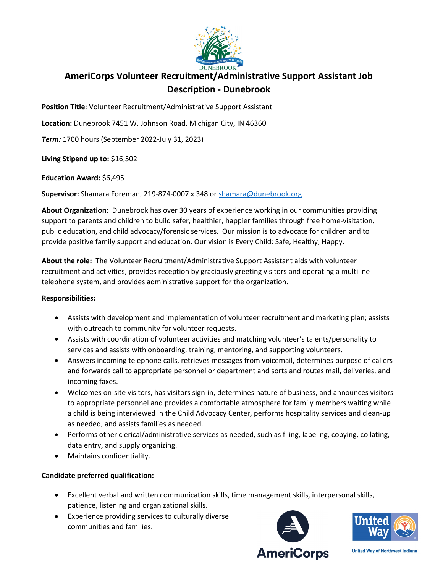

## **AmeriCorps Volunteer Recruitment/Administrative Support Assistant Job Description - Dunebrook**

**Position Title**: Volunteer Recruitment/Administrative Support Assistant

**Location:** Dunebrook 7451 W. Johnson Road, Michigan City, IN 46360

*Term:* 1700 hours (September 2022-July 31, 2023)

**Living Stipend up to:** \$16,502

**Education Award:** \$6,495

**Supervisor:** Shamara Foreman, 219-874-0007 x 348 or [shamara@dunebrook.org](mailto:shamara@dunebrook.org)

**About Organization**: Dunebrook has over 30 years of experience working in our communities providing support to parents and children to build safer, healthier, happier families through free home-visitation, public education, and child advocacy/forensic services. Our mission is to advocate for children and to provide positive family support and education. Our vision is Every Child: Safe, Healthy, Happy.

**About the role:** The Volunteer Recruitment/Administrative Support Assistant aids with volunteer recruitment and activities, provides reception by graciously greeting visitors and operating a multiline telephone system, and provides administrative support for the organization.

## **Responsibilities:**

- Assists with development and implementation of volunteer recruitment and marketing plan; assists with outreach to community for volunteer requests.
- Assists with coordination of volunteer activities and matching volunteer's talents/personality to services and assists with onboarding, training, mentoring, and supporting volunteers.
- Answers incoming telephone calls, retrieves messages from voicemail, determines purpose of callers and forwards call to appropriate personnel or department and sorts and routes mail, deliveries, and incoming faxes.
- Welcomes on-site visitors, has visitors sign-in, determines nature of business, and announces visitors to appropriate personnel and provides a comfortable atmosphere for family members waiting while a child is being interviewed in the Child Advocacy Center, performs hospitality services and clean-up as needed, and assists families as needed.
- Performs other clerical/administrative services as needed, such as filing, labeling, copying, collating, data entry, and supply organizing.
- Maintains confidentiality.

## **Candidate preferred qualification:**

- Excellent verbal and written communication skills, time management skills, interpersonal skills, patience, listening and organizational skills.
- Experience providing services to culturally diverse communities and families.





**United Way of Northwest Indiana**